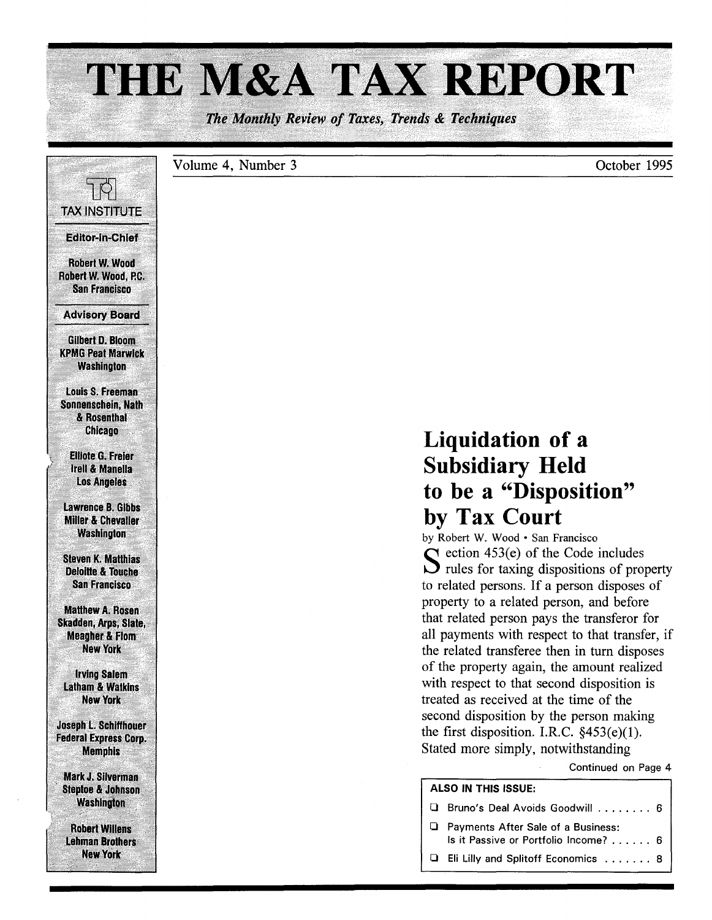# THE M&A TAX REPORT

The Monthly Review of Taxes, Trends & Techniques

Volume 4, Number 3 October 1995 7 P **TAX INSTITUTE Editor-in-Chief** Robert W. Wood Robert W. Wood, P.C. **San Francisco Advisory Board Gilbert D. Bloom KPMG Peat Marwick Washington** Louis S. Freeman Sonnenschein, Nath & Rosenthal **Chicago Liquidation of a Elliote G. Freier Subsidiary Held Irell & Manella Los Angeles** to be a "Disposition" **Lawrence B. Gibbs** by Tax Court **Miller & Chevaller Washington** by Robert W. Wood · San Francisco  $\bigcap$  ection 453(e) of the Code includes **Steven K. Matthias**  $\sum$  rules for taxing dispositions of property **Deloitte & Touche** to related persons. If a person disposes of **San Francisco** property to a related person, and before **Matthew A. Rosen** that related person pays the transferor for Skadden, Arps, Slate, all payments with respect to that transfer, if **Meacher & Flom New York** the related transferee then in turn disposes of the property again, the amount realized **Irving Salem** with respect to that second disposition is **Latham & Watkins** treated as received at the time of the **New York** second disposition by the person making **Joseph L. Schiffhouer** the first disposition. I.R.C.  $§453(e)(1)$ . **Federal Express Corp.** Stated more simply, notwithstanding **Memphis** Continued on Page 4 **Mark J. Silverman ALSO IN THIS ISSUE: Steptoe & Johnson Washington Q** Bruno's Deal Avoids Goodwill . . . . . . . . 6 □ Payments After Sale of a Business: **Robert Willens** Is it Passive or Portfolio Income? . . . . . . 6 **Lehman Brothers** 

**New York** 

Eli Lilly and Splitoff Economics ....... 8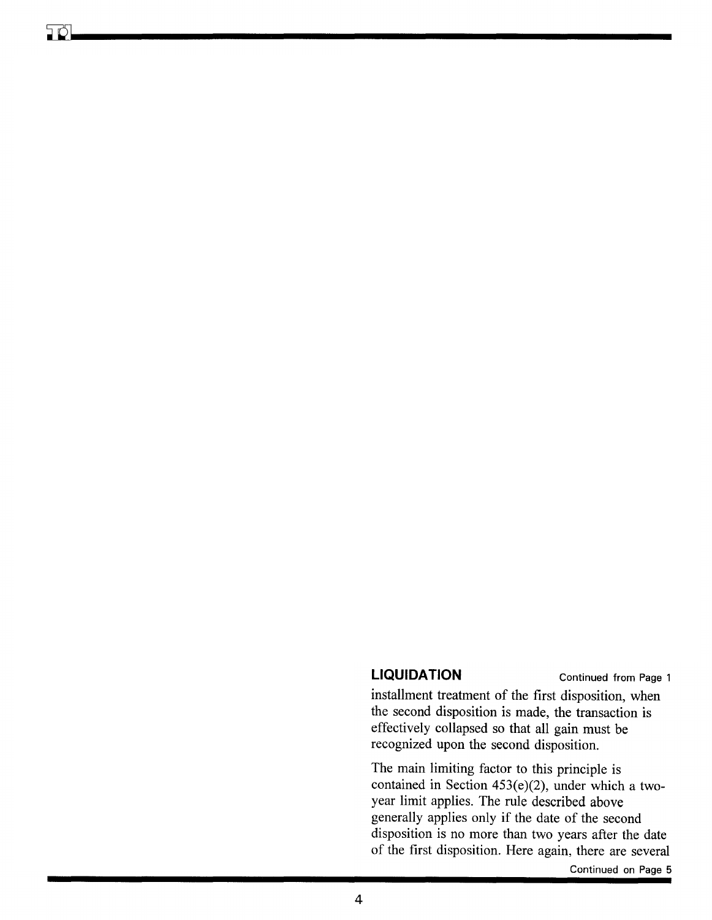# **LIQUIDATION** Continued from Page 1

installment treatment of the first disposition, when the second disposition is made, the transaction is effectively collapsed so that all gain must be recognized upon the second disposition.

The main limiting factor to this principle is contained in Section 453(e)(2), under which a twoyear limit applies. The rule described above generally applies only if the date of the second disposition is no more than two years after the date of the first disposition. Here again, there are several

Continued on Page 5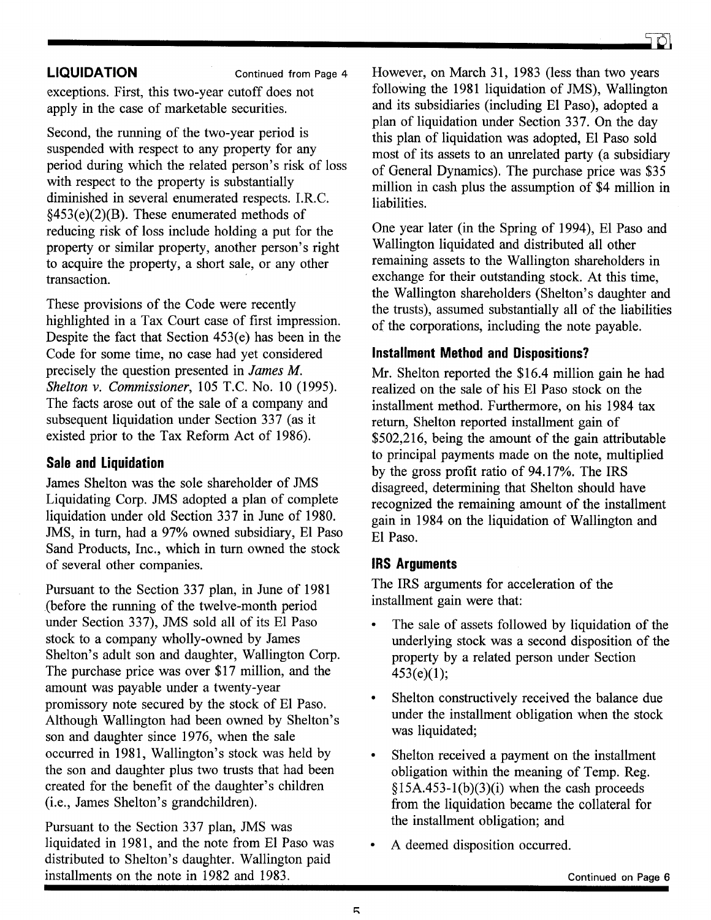**LIQUIDATION Continued from Page 4** 

exceptions. First, this two-year cutoff does not apply in the case of marketable securities.

Second, the running of the two-year period is suspended with respect to any property for any period during which the related person's risk of loss with respect to the property is substantially diminished in several enumerated respects. LR.C.  $§453(e)(2)(B)$ . These enumerated methods of reducing risk of loss include holding a put for the property or similar property, another person's right to acquire the property, a short sale, or any other transaction.

These provisions of the Code were recently highlighted in a Tax Court case of first impression. Despite the fact that Section 453(e) has been in the Code for some time, no case had yet considered precisely the question presented in *James M. Shelton* v. *Commissioner,* 105 T.C. No. 10 (1995). The facts arose out of the sale of a company and subsequent liquidation under Section 337 (as it existed prior to the Tax Reform Act of 1986).

# **Sale and Liquidation**

James Shelton was the sole shareholder of JMS Liquidating Corp. JMS adopted a plan of complete liquidation under old Section 337 in June of 1980. JMS, in turn, had a 97% owned subsidiary, El Paso Sand Products, Inc., which in turn owned the stock of several other companies.

Pursuant to the Section 337 plan, in June of 1981 (before the running of the twelve-month period under Section 337), JMS sold all of its El Paso stock to a company wholly-owned by James Shelton's adult son and daughter, Wallington Corp. The purchase price was over \$17 million, and the amount was payable under a twenty-year promissory note secured by the stock of El Paso. Although Wallington had been owned by Shelton's son and daughter since 1976, when the sale occurred in 1981, Wallington's stock was held by the son and daughter plus two trusts that had been created for the benefit of the daughter's children (i.e., James Shelton's grandchildren).

Pursuant to the Section 337 plan, JMS was liquidated in 1981, and the note from El Paso was distributed to Shelton's daughter. Wallington paid installments on the note in 1982 and 1983.

However, on March 31, 1983 (less than two years following the 1981 liquidation of JMS), Wallington and its subsidiaries (including El Paso), adopted a plan of liquidation under Section 337. On the day this plan of liquidation was adopted, El Paso sold most of its assets to an unrelated party (a subsidiary of General Dynamics). The purchase price was \$35 million in cash plus the assumption of \$4 million in liabilities.

One year later (in the Spring of 1994), El Paso and Wallington liquidated and distributed all other remaining assets to the Wallington shareholders in exchange for their outstanding stock. At this time, the Wallington shareholders (Shelton's daughter and the trusts), assumed substantially all of the liabilities of the corporations, including the note payable.

# **Installment Method and Dispositions?**

Mr. Shelton reported the \$16.4 million gain he had realized on the sale of his El Paso stock on the installment method. Furthermore, on his 1984 tax return, Shelton reported installment gain of \$502,216, being the amount of the gain attributable to principal payments made on the note, multiplied by the gross profit ratio of 94.17%. The IRS disagreed, determining that Shelton should have recognized the remaining amount of the installment gain in 1984 on the liquidation of Wallington and El Paso.

## **IRS Arguments**

The IRS arguments for acceleration of the installment gain were that:

- The sale of assets followed by liquidation of the underlying stock was a second disposition of the property by a related person under Section 453(e)(1);
- Shelton constructively received the balance due under the installment obligation when the stock was liquidated;
- Shelton received a payment on the installment obligation within the meaning of Temp. Reg.  $§15A.453-1(b)(3)(i)$  when the cash proceeds from the liquidation became the collateral for the installment obligation; and
- A deemed disposition occurred.